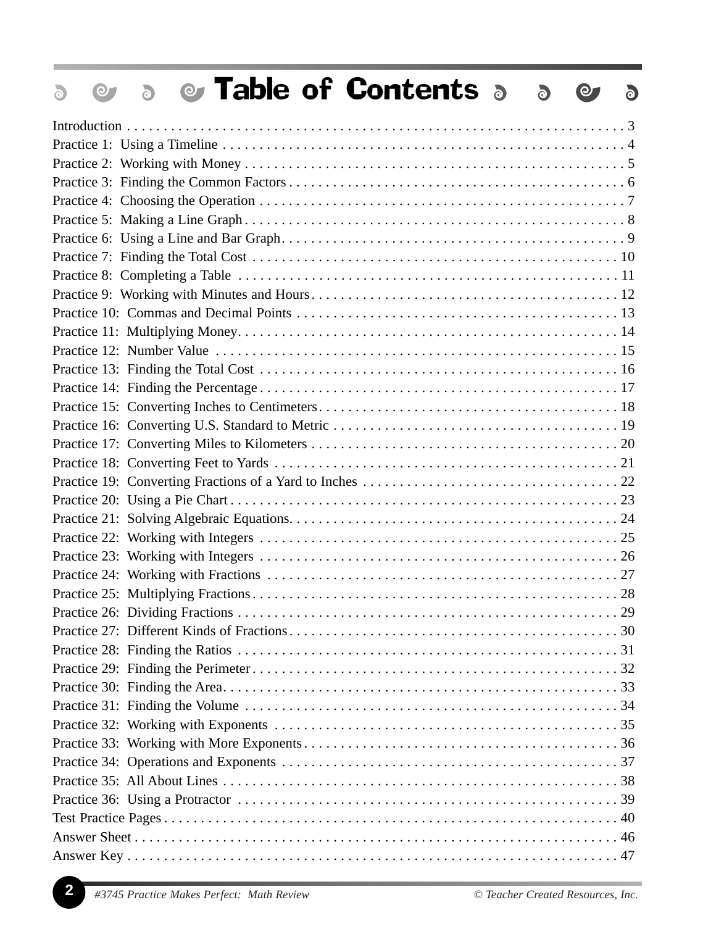| <b>&amp; Table of Contents a</b><br>$\ddot{\circ}$<br>$\bullet$<br>$\overline{\text{O}}$<br>$\delta$ |  |
|------------------------------------------------------------------------------------------------------|--|
|                                                                                                      |  |
|                                                                                                      |  |
|                                                                                                      |  |
|                                                                                                      |  |
|                                                                                                      |  |
|                                                                                                      |  |
|                                                                                                      |  |
|                                                                                                      |  |
|                                                                                                      |  |
|                                                                                                      |  |
|                                                                                                      |  |
|                                                                                                      |  |
|                                                                                                      |  |
|                                                                                                      |  |
|                                                                                                      |  |
|                                                                                                      |  |
|                                                                                                      |  |
|                                                                                                      |  |
|                                                                                                      |  |
|                                                                                                      |  |
|                                                                                                      |  |
|                                                                                                      |  |
|                                                                                                      |  |
|                                                                                                      |  |
|                                                                                                      |  |
|                                                                                                      |  |
|                                                                                                      |  |
|                                                                                                      |  |
|                                                                                                      |  |
|                                                                                                      |  |
|                                                                                                      |  |
|                                                                                                      |  |
|                                                                                                      |  |
|                                                                                                      |  |
|                                                                                                      |  |
|                                                                                                      |  |
|                                                                                                      |  |
|                                                                                                      |  |
|                                                                                                      |  |
|                                                                                                      |  |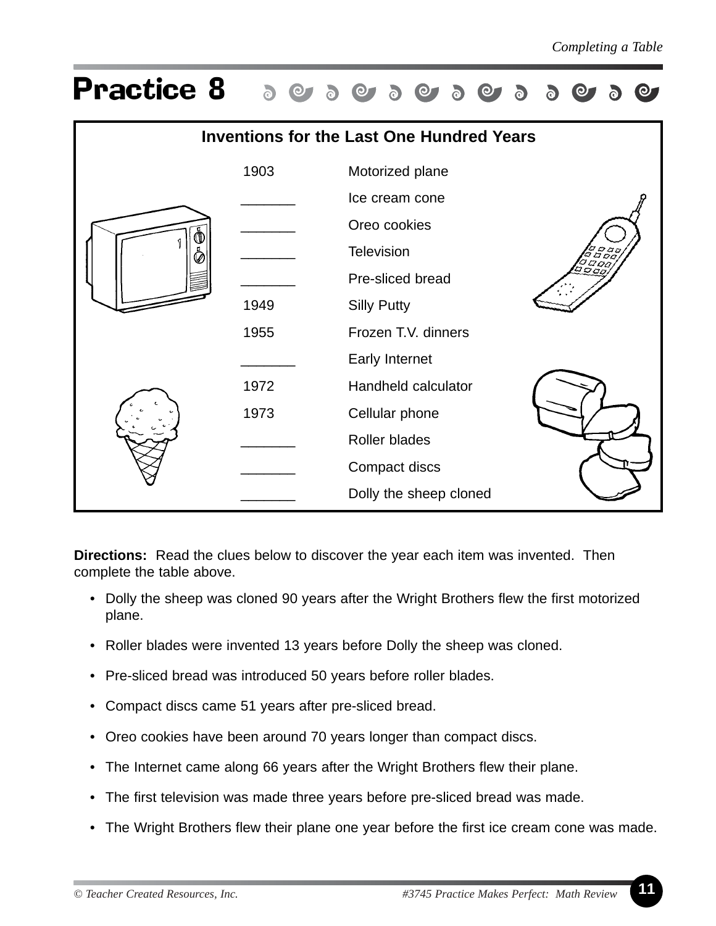

**Directions:** Read the clues below to discover the year each item was invented. Then complete the table above.

- Dolly the sheep was cloned 90 years after the Wright Brothers flew the first motorized plane.
- Roller blades were invented 13 years before Dolly the sheep was cloned.
- Pre-sliced bread was introduced 50 years before roller blades.
- Compact discs came 51 years after pre-sliced bread.
- Oreo cookies have been around 70 years longer than compact discs.
- The Internet came along 66 years after the Wright Brothers flew their plane.
- The first television was made three years before pre-sliced bread was made.
- The Wright Brothers flew their plane one year before the first ice cream cone was made.